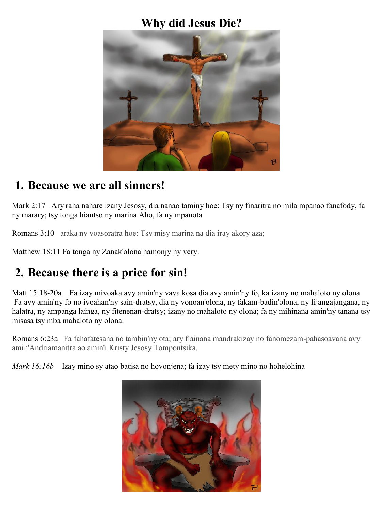### **Why did Jesus Die?**



### **1. Because we are all sinners!**

Mark 2:17 Ary raha nahare izany Jesosy, dia nanao taminy hoe: Tsy ny finaritra no mila mpanao fanafody, fa ny marary; tsy tonga hiantso ny marina Aho, fa ny mpanota

Romans 3:10 araka ny voasoratra hoe: Tsy misy marina na dia iray akory aza;

Matthew 18:11 Fa tonga ny Zanak'olona hamonjy ny very.

# **2. Because there is a price for sin!**

Matt 15:18-20a Fa izay mivoaka avy amin'ny vava kosa dia avy amin'ny fo, ka izany no mahaloto ny olona. Fa avy amin'ny fo no ivoahan'ny sain-dratsy, dia ny vonoan'olona, ny fakam-badin'olona, ny fijangajangana, ny halatra, ny ampanga lainga, ny fitenenan-dratsy; izany no mahaloto ny olona; fa ny mihinana amin'ny tanana tsy misasa tsy mba mahaloto ny olona.

Romans 6:23a Fa fahafatesana no tambin'ny ota; ary fiainana mandrakizay no fanomezam-pahasoavana avy amin'Andriamanitra ao amin'i Kristy Jesosy Tompontsika.

*Mark 16:16b* Izay mino sy atao batisa no hovonjena; fa izay tsy mety mino no hohelohina

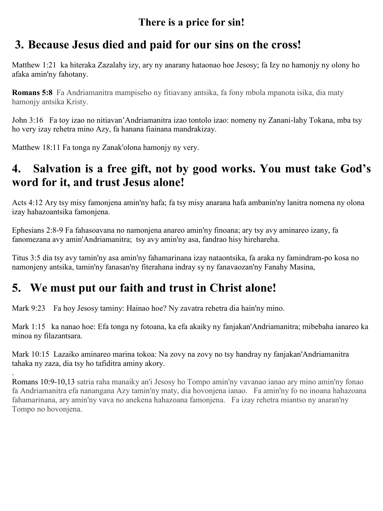#### **There is a price for sin!**

## **3. Because Jesus died and paid for our sins on the cross!**

Matthew 1:21 ka hiteraka Zazalahy izy, ary ny anarany hataonao hoe Jesosy; fa Izy no hamonjy ny olony ho afaka amin'ny fahotany.

**Romans 5:8** Fa Andriamanitra mampiseho ny fitiavany antsika, fa fony mbola mpanota isika, dia maty hamonjy antsika Kristy.

John 3:16 Fa toy izao no nitiavan'Andriamanitra izao tontolo izao: nomeny ny Zanani-lahy Tokana, mba tsy ho very izay rehetra mino Azy, fa hanana fiainana mandrakizay.

Matthew 18:11 Fa tonga ny Zanak'olona hamonjy ny very.

## **4. Salvation is a free gift, not by good works. You must take God's word for it, and trust Jesus alone!**

Acts 4:12 Ary tsy misy famonjena amin'ny hafa; fa tsy misy anarana hafa ambanin'ny lanitra nomena ny olona izay hahazoantsika famonjena.

Ephesians 2:8-9 Fa fahasoavana no namonjena anareo amin'ny finoana; ary tsy avy aminareo izany, fa fanomezana avy amin'Andriamanitra; tsy avy amin'ny asa, fandrao hisy hirehareha.

Titus 3:5 dia tsy avy tamin'ny asa amin'ny fahamarinana izay nataontsika, fa araka ny famindram-po kosa no namonjeny antsika, tamin'ny fanasan'ny fiterahana indray sy ny fanavaozan'ny Fanahy Masina,

# **5. We must put our faith and trust in Christ alone!**

Mark 9:23 Fa hoy Jesosy taminy: Hainao hoe? Ny zavatra rehetra dia hain'ny mino.

Mark 1:15 ka nanao hoe: Efa tonga ny fotoana, ka efa akaiky ny fanjakan'Andriamanitra; mibebaha ianareo ka minoa ny filazantsara.

Mark 10:15 Lazaiko aminareo marina tokoa: Na zovy na zovy no tsy handray ny fanjakan'Andriamanitra tahaka ny zaza, dia tsy ho tafiditra aminy akory.

. Romans 10:9-10,13 satria raha manaiky an'i Jesosy ho Tompo amin'ny vavanao ianao ary mino amin'ny fonao fa Andriamanitra efa nanangana Azy tamin'ny maty, dia hovonjena ianao. Fa amin'ny fo no inoana hahazoana fahamarinana, ary amin'ny vava no anekena hahazoana famonjena. Fa izay rehetra miantso ny anaran'ny Tompo no hovonjena.